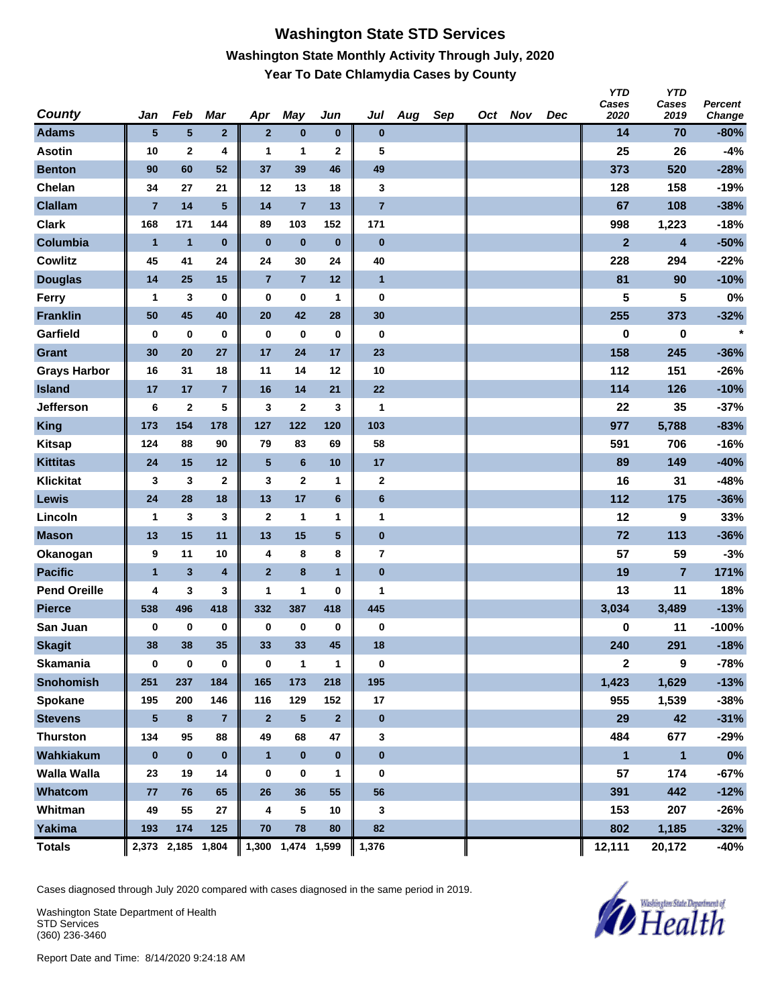#### **Washington State STD Services Washington State Monthly Activity Through July, 2020 Year To Date Chlamydia Cases by County**

| <b>County</b>       | Jan             | Feb               | Mar                     | Apr             | May               | Jun             | Jul                     | Aug | Sep | Oct Nov | Dec | <b>YTD</b><br>Cases<br>2020 | <b>YTD</b><br>Cases<br>2019 | Percent<br>Change |
|---------------------|-----------------|-------------------|-------------------------|-----------------|-------------------|-----------------|-------------------------|-----|-----|---------|-----|-----------------------------|-----------------------------|-------------------|
| <b>Adams</b>        | $5\phantom{.0}$ | $\sqrt{5}$        | $\mathbf{2}$            | $\overline{2}$  | $\bf{0}$          | $\bf{0}$        | $\bf{0}$                |     |     |         |     | 14                          | 70                          | $-80%$            |
| <b>Asotin</b>       | 10              | $\mathbf{2}$      | 4                       | 1               | 1                 | $\mathbf 2$     | 5                       |     |     |         |     | 25                          | 26                          | $-4%$             |
| <b>Benton</b>       | 90              | 60                | 52                      | 37              | 39                | 46              | 49                      |     |     |         |     | 373                         | 520                         | $-28%$            |
| Chelan              | 34              | 27                | 21                      | 12              | 13                | 18              | 3                       |     |     |         |     | 128                         | 158                         | $-19%$            |
| <b>Clallam</b>      | $\overline{7}$  | 14                | $5\phantom{.0}$         | 14              | $\overline{7}$    | 13              | $\overline{7}$          |     |     |         |     | 67                          | 108                         | $-38%$            |
| <b>Clark</b>        | 168             | 171               | 144                     | 89              | 103               | 152             | 171                     |     |     |         |     | 998                         | 1,223                       | $-18%$            |
| Columbia            | $\overline{1}$  | $\mathbf{1}$      | $\bf{0}$                | $\bf{0}$        | $\bf{0}$          | $\bf{0}$        | $\bf{0}$                |     |     |         |     | $\overline{2}$              | $\overline{\mathbf{4}}$     | $-50%$            |
| <b>Cowlitz</b>      | 45              | 41                | 24                      | 24              | 30                | 24              | 40                      |     |     |         |     | 228                         | 294                         | $-22%$            |
| <b>Douglas</b>      | 14              | 25                | 15                      | $\overline{7}$  | $\overline{7}$    | 12              | $\mathbf{1}$            |     |     |         |     | 81                          | 90                          | $-10%$            |
| Ferry               | 1               | 3                 | $\bf{0}$                | $\bf{0}$        | 0                 | 1               | $\bf{0}$                |     |     |         |     | 5                           | 5                           | 0%                |
| <b>Franklin</b>     | 50              | 45                | 40                      | 20              | 42                | 28              | 30                      |     |     |         |     | 255                         | 373                         | $-32%$            |
| Garfield            | $\bf{0}$        | $\bf{0}$          | $\bf{0}$                | $\bf{0}$        | $\bf{0}$          | $\bf{0}$        | $\bf{0}$                |     |     |         |     | 0                           | 0                           | $\star$           |
| <b>Grant</b>        | 30              | 20                | 27                      | 17              | 24                | 17              | 23                      |     |     |         |     | 158                         | 245                         | $-36%$            |
| <b>Grays Harbor</b> | 16              | 31                | 18                      | 11              | 14                | 12              | 10                      |     |     |         |     | 112                         | 151                         | $-26%$            |
| <b>Island</b>       | 17              | 17                | $\overline{7}$          | 16              | 14                | 21              | 22                      |     |     |         |     | 114                         | 126                         | $-10%$            |
| Jefferson           | 6               | $\mathbf{2}$      | 5                       | 3               | $\mathbf{2}$      | 3               | 1                       |     |     |         |     | 22                          | 35                          | $-37%$            |
| <b>King</b>         | 173             | 154               | 178                     | 127             | 122               | 120             | 103                     |     |     |         |     | 977                         | 5,788                       | $-83%$            |
| <b>Kitsap</b>       | 124             | 88                | 90                      | 79              | 83                | 69              | 58                      |     |     |         |     | 591                         | 706                         | $-16%$            |
| <b>Kittitas</b>     | 24              | 15                | 12                      | $5\phantom{.0}$ | $6\phantom{1}$    | 10              | 17                      |     |     |         |     | 89                          | 149                         | $-40%$            |
| <b>Klickitat</b>    | 3               | 3                 | $\mathbf{2}$            | 3               | $\mathbf{2}$      | 1               | $\mathbf 2$             |     |     |         |     | 16                          | 31                          | $-48%$            |
| Lewis               | 24              | 28                | 18                      | 13              | 17                | 6               | $\bf 6$                 |     |     |         |     | 112                         | 175                         | $-36%$            |
| Lincoln             | 1               | 3                 | 3                       | $\mathbf{2}$    | 1                 | 1               | 1                       |     |     |         |     | 12                          | 9                           | 33%               |
| <b>Mason</b>        | 13              | 15                | 11                      | 13              | 15                | $5\phantom{.0}$ | $\pmb{0}$               |     |     |         |     | 72                          | 113                         | $-36%$            |
| Okanogan            | 9               | 11                | 10                      | 4               | 8                 | 8               | $\overline{\mathbf{r}}$ |     |     |         |     | 57                          | 59                          | $-3%$             |
| <b>Pacific</b>      | $\overline{1}$  | $\mathbf{3}$      | $\overline{\mathbf{4}}$ | $\overline{2}$  | 8                 | $\mathbf{1}$    | $\pmb{0}$               |     |     |         |     | 19                          | $\overline{7}$              | 171%              |
| <b>Pend Oreille</b> | 4               | 3                 | 3                       | 1               | 1                 | 0               | 1                       |     |     |         |     | 13                          | 11                          | 18%               |
| <b>Pierce</b>       | 538             | 496               | 418                     | 332             | 387               | 418             | 445                     |     |     |         |     | 3,034                       | 3,489                       | $-13%$            |
| San Juan            | 0               | 0                 | $\bf{0}$                | 0               | 0                 | $\bf{0}$        | 0                       |     |     |         |     | 0                           | 11                          | $-100%$           |
| <b>Skagit</b>       | 38              | 38                | 35                      | 33              | 33                | 45              | 18                      |     |     |         |     | 240                         | 291                         | $-18%$            |
| <b>Skamania</b>     | 0               | $\pmb{0}$         | $\pmb{0}$               | $\bf{0}$        | $\mathbf{1}$      | $\mathbf{1}$    | $\bf{0}$                |     |     |         |     | $\overline{2}$              | 9                           | $-78%$            |
| <b>Snohomish</b>    | 251             | 237               | 184                     | 165             | 173               | 218             | 195                     |     |     |         |     | 1,423                       | 1,629                       | $-13%$            |
| Spokane             | 195             | 200               | 146                     | 116             | 129               | 152             | $17\,$                  |     |     |         |     | 955                         | 1,539                       | $-38%$            |
| <b>Stevens</b>      | $\sqrt{5}$      | 8                 | $\overline{7}$          | $\overline{2}$  | ${\bf 5}$         | $\mathbf{2}$    | $\pmb{0}$               |     |     |         |     | 29                          | 42                          | $-31%$            |
| <b>Thurston</b>     | 134             | 95                | 88                      | 49              | 68                | 47              | 3                       |     |     |         |     | 484                         | 677                         | $-29%$            |
| Wahkiakum           | $\pmb{0}$       | $\pmb{0}$         | $\pmb{0}$               | $\mathbf{1}$    | $\pmb{0}$         | $\bf{0}$        | $\pmb{0}$               |     |     |         |     | $\mathbf{1}$                | $\mathbf{1}$                | $0\%$             |
| <b>Walla Walla</b>  | 23              | 19                | 14                      | 0               | 0                 | 1               | 0                       |     |     |         |     | 57                          | 174                         | $-67%$            |
| Whatcom             | 77              | 76                | 65                      | 26              | 36                | 55              | 56                      |     |     |         |     | 391                         | 442                         | $-12%$            |
| Whitman             | 49              | 55                | 27                      | 4               | 5                 | 10              | 3                       |     |     |         |     | 153                         | 207                         | -26%              |
| <b>Yakima</b>       | 193             | 174               | 125                     | 70              | 78                | 80              | 82                      |     |     |         |     | 802                         | 1,185                       | $-32%$            |
| <b>Totals</b>       |                 | 2,373 2,185 1,804 |                         |                 | 1,300 1,474 1,599 |                 | 1,376                   |     |     |         |     | 12,111                      | 20,172                      | -40%              |

Cases diagnosed through July 2020 compared with cases diagnosed in the same period in 2019.

Washington State Department of Health STD Services (360) 236-3460

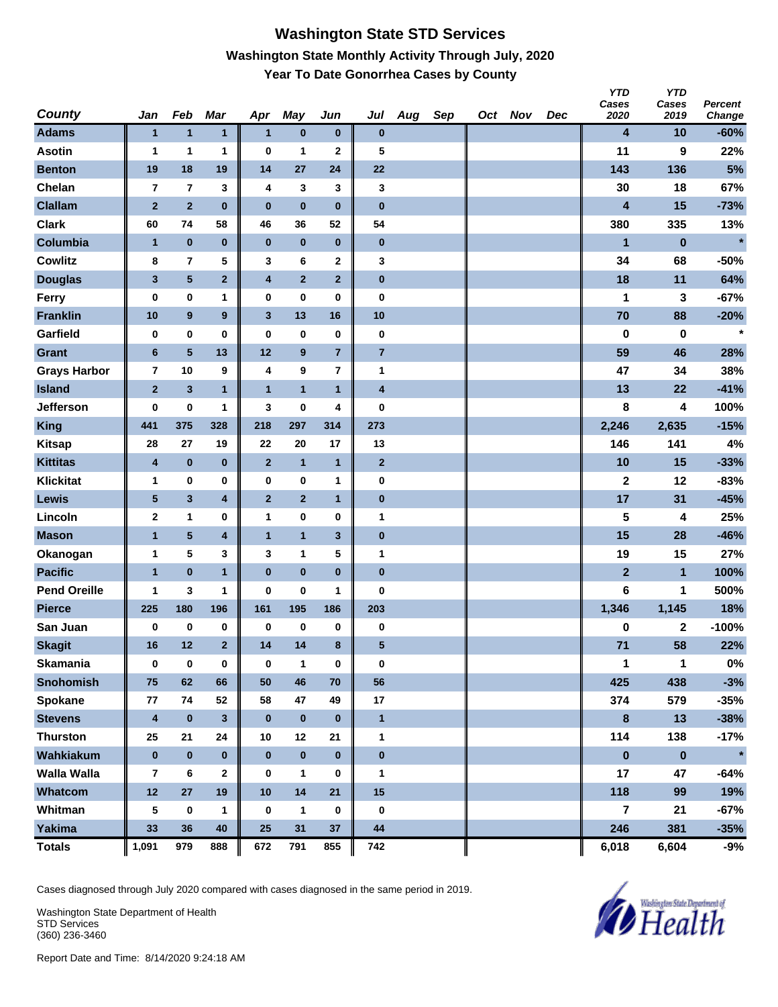## **Washington State STD Services Washington State Monthly Activity Through July, 2020 Year To Date Gonorrhea Cases by County**

| <b>County</b>       | Jan                     | Feb                     | Mar            | Apr          | May              | Jun                     | Jul                     | Aug | Sep | Oct Nov | Dec | <b>YTD</b><br>Cases<br>2020 | <b>YTD</b><br>Cases<br>2019 | <b>Percent</b><br>Change |
|---------------------|-------------------------|-------------------------|----------------|--------------|------------------|-------------------------|-------------------------|-----|-----|---------|-----|-----------------------------|-----------------------------|--------------------------|
| <b>Adams</b>        | $\mathbf{1}$            | $\mathbf{1}$            | $\mathbf{1}$   | $\mathbf{1}$ | $\bf{0}$         | $\bf{0}$                | $\pmb{0}$               |     |     |         |     | 4                           | 10                          | $-60%$                   |
| <b>Asotin</b>       | 1                       | 1                       | 1              | $\bf{0}$     | 1                | $\mathbf 2$             | 5                       |     |     |         |     | 11                          | 9                           | 22%                      |
| <b>Benton</b>       | 19                      | 18                      | 19             | 14           | 27               | 24                      | 22                      |     |     |         |     | 143                         | 136                         | 5%                       |
| Chelan              | $\overline{\mathbf{r}}$ | $\overline{7}$          | 3              | 4            | $\mathbf{3}$     | 3                       | 3                       |     |     |         |     | 30                          | 18                          | 67%                      |
| <b>Clallam</b>      | $\mathbf 2$             | $\overline{2}$          | $\bf{0}$       | $\bf{0}$     | $\bf{0}$         | $\bf{0}$                | $\bf{0}$                |     |     |         |     | 4                           | 15                          | $-73%$                   |
| <b>Clark</b>        | 60                      | 74                      | 58             | 46           | 36               | 52                      | 54                      |     |     |         |     | 380                         | 335                         | 13%                      |
| Columbia            | $\overline{1}$          | $\pmb{0}$               | $\bf{0}$       | $\pmb{0}$    | $\bf{0}$         | $\pmb{0}$               | $\pmb{0}$               |     |     |         |     | 1                           | $\bf{0}$                    | $\star$                  |
| <b>Cowlitz</b>      | 8                       | $\overline{\mathbf{r}}$ | 5              | 3            | 6                | $\mathbf 2$             | 3                       |     |     |         |     | 34                          | 68                          | $-50%$                   |
| <b>Douglas</b>      | $\mathbf{3}$            | $\overline{\mathbf{5}}$ | $\overline{2}$ | 4            | $\bf{2}$         | $\mathbf{2}$            | $\pmb{0}$               |     |     |         |     | 18                          | 11                          | 64%                      |
| Ferry               | $\bf{0}$                | 0                       | 1              | 0            | $\bf{0}$         | 0                       | $\bf{0}$                |     |     |         |     | 1                           | 3                           | $-67%$                   |
| <b>Franklin</b>     | 10                      | $\boldsymbol{9}$        | 9              | 3            | 13               | 16                      | 10                      |     |     |         |     | 70                          | 88                          | $-20%$                   |
| Garfield            | $\bf{0}$                | 0                       | 0              | $\bf{0}$     | $\bf{0}$         | 0                       | 0                       |     |     |         |     | 0                           | 0                           | $\star$                  |
| <b>Grant</b>        | $6\phantom{1}6$         | ${\bf 5}$               | 13             | 12           | $\boldsymbol{9}$ | $\overline{7}$          | $\overline{7}$          |     |     |         |     | 59                          | 46                          | 28%                      |
| <b>Grays Harbor</b> | $\overline{\mathbf{r}}$ | 10                      | 9              | 4            | 9                | $\overline{\mathbf{r}}$ | 1                       |     |     |         |     | 47                          | 34                          | 38%                      |
| <b>Island</b>       | $\bf{2}$                | $\mathbf{3}$            | $\mathbf{1}$   | $\mathbf{1}$ | $\mathbf{1}$     | $\mathbf{1}$            | $\overline{\mathbf{4}}$ |     |     |         |     | 13                          | 22                          | $-41%$                   |
| Jefferson           | 0                       | 0                       | 1              | 3            | $\bf{0}$         | 4                       | 0                       |     |     |         |     | 8                           | 4                           | 100%                     |
| <b>King</b>         | 441                     | 375                     | 328            | 218          | 297              | 314                     | 273                     |     |     |         |     | 2,246                       | 2,635                       | $-15%$                   |
| <b>Kitsap</b>       | 28                      | 27                      | 19             | 22           | 20               | 17                      | 13                      |     |     |         |     | 146                         | 141                         | 4%                       |
| <b>Kittitas</b>     | $\boldsymbol{4}$        | $\pmb{0}$               | $\bf{0}$       | $\mathbf{2}$ | $\mathbf{1}$     | $\mathbf{1}$            | $\mathbf{2}$            |     |     |         |     | 10                          | 15                          | $-33%$                   |
| <b>Klickitat</b>    | 1                       | 0                       | 0              | 0            | $\bf{0}$         | 1                       | 0                       |     |     |         |     | $\mathbf 2$                 | 12                          | $-83%$                   |
| <b>Lewis</b>        | $\sqrt{5}$              | $\mathbf{3}$            | 4              | $\mathbf{2}$ | $\bf{2}$         | $\mathbf{1}$            | $\pmb{0}$               |     |     |         |     | 17                          | 31                          | $-45%$                   |
| Lincoln             | $\mathbf{2}$            | 1                       | 0              | 1            | $\bf{0}$         | 0                       | 1                       |     |     |         |     | 5                           | 4                           | 25%                      |
| <b>Mason</b>        | $\mathbf{1}$            | $\overline{\mathbf{5}}$ | 4              | $\mathbf{1}$ | $\overline{1}$   | 3                       | $\pmb{0}$               |     |     |         |     | 15                          | 28                          | $-46%$                   |
| Okanogan            | 1                       | 5                       | 3              | 3            | $\mathbf{1}$     | 5                       | 1                       |     |     |         |     | 19                          | 15                          | 27%                      |
| <b>Pacific</b>      | $\overline{1}$          | $\pmb{0}$               | $\mathbf{1}$   | $\pmb{0}$    | $\bf{0}$         | $\bf{0}$                | $\bf{0}$                |     |     |         |     | $\overline{2}$              | $\mathbf{1}$                | 100%                     |
| <b>Pend Oreille</b> | $\mathbf 1$             | 3                       | 1              | $\bf{0}$     | $\bf{0}$         | 1                       | $\bf{0}$                |     |     |         |     | 6                           | 1                           | 500%                     |
| <b>Pierce</b>       | 225                     | 180                     | 196            | 161          | 195              | 186                     | 203                     |     |     |         |     | 1,346                       | 1,145                       | 18%                      |
| San Juan            | $\bf{0}$                | 0                       | 0              | 0            | $\bf{0}$         | 0                       | 0                       |     |     |         |     | 0                           | 2                           | $-100%$                  |
| <b>Skagit</b>       | 16                      | 12                      | $\overline{2}$ | 14           | 14               | 8                       | 5                       |     |     |         |     | 71                          | 58                          | 22%                      |
| <b>Skamania</b>     | $\bf{0}$                | $\pmb{0}$               | 0              | $\bf{0}$     | $\mathbf{1}$     | $\pmb{0}$               | $\mathbf 0$             |     |     |         |     | 1                           | 1                           | $0\%$                    |
| <b>Snohomish</b>    | 75                      | 62                      | 66             | 50           | 46               | 70                      | 56                      |     |     |         |     | 425                         | 438                         | $-3%$                    |
| Spokane             | 77                      | 74                      | 52             | 58           | 47               | 49                      | 17                      |     |     |         |     | 374                         | 579                         | $-35%$                   |
| <b>Stevens</b>      | $\overline{\mathbf{4}}$ | $\pmb{0}$               | $3\phantom{a}$ | $\bf{0}$     | $\pmb{0}$        | $\bf{0}$                | $\mathbf{1}$            |     |     |         |     | $\pmb{8}$                   | 13                          | $-38%$                   |
| <b>Thurston</b>     | 25                      | 21                      | 24             | 10           | 12               | 21                      | 1                       |     |     |         |     | 114                         | 138                         | $-17%$                   |
| Wahkiakum           | $\pmb{0}$               | $\pmb{0}$               | $\pmb{0}$      | $\bf{0}$     | $\pmb{0}$        | $\bf{0}$                | $\pmb{0}$               |     |     |         |     | $\pmb{0}$                   | $\pmb{0}$                   | $\star$                  |
| <b>Walla Walla</b>  | 7                       | 6                       | 2              | 0            | $\mathbf{1}$     | 0                       | 1                       |     |     |         |     | 17                          | 47                          | $-64%$                   |
| Whatcom             | 12                      | 27                      | 19             | 10           | 14               | 21                      | 15                      |     |     |         |     | 118                         | 99                          | 19%                      |
| Whitman             | 5                       | $\bf{0}$                | 1              | $\mathbf 0$  | $\mathbf{1}$     | 0                       | 0                       |     |     |         |     | $\overline{7}$              | 21                          | $-67%$                   |
| Yakima              | 33                      | 36                      | 40             | 25           | 31               | 37                      | 44                      |     |     |         |     | 246                         | 381                         | $-35%$                   |
| <b>Totals</b>       | 1,091                   | 979                     | 888            | 672          | 791              | 855                     | 742                     |     |     |         |     | 6,018                       | 6,604                       | $-9%$                    |

Cases diagnosed through July 2020 compared with cases diagnosed in the same period in 2019.

Washington State Department of Health STD Services (360) 236-3460

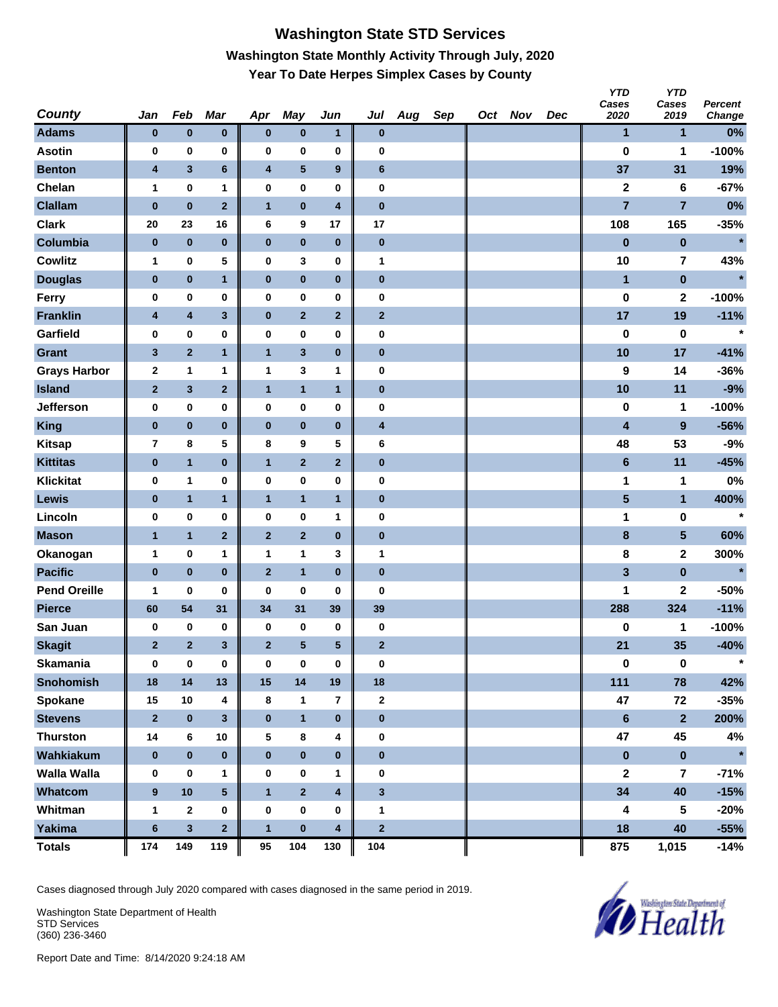# **Washington State STD Services Washington State Monthly Activity Through July, 2020 Year To Date Herpes Simplex Cases by County**

| <b>County</b>       | Jan                     | Feb                     | <b>Mar</b>              | Apr            | <b>May</b>              | Jun            | Jul                     | Aug | Sep | Oct Nov | Dec | <b>YTD</b><br>Cases<br>2020 | <b>YTD</b><br>Cases<br>2019 | <b>Percent</b><br>Change |
|---------------------|-------------------------|-------------------------|-------------------------|----------------|-------------------------|----------------|-------------------------|-----|-----|---------|-----|-----------------------------|-----------------------------|--------------------------|
| <b>Adams</b>        | $\bf{0}$                | $\pmb{0}$               | $\pmb{0}$               | $\bf{0}$       | $\pmb{0}$               | $\mathbf{1}$   | $\bf{0}$                |     |     |         |     | 1                           | $\mathbf{1}$                | $0\%$                    |
| <b>Asotin</b>       | $\bf{0}$                | 0                       | 0                       | 0              | $\bf{0}$                | 0              | 0                       |     |     |         |     | $\bf{0}$                    | 1                           | $-100%$                  |
| <b>Benton</b>       | 4                       | $\mathbf{3}$            | $6\phantom{1}$          | 4              | $\sqrt{5}$              | 9              | $6\phantom{1}$          |     |     |         |     | 37                          | 31                          | 19%                      |
| Chelan              | $\mathbf 1$             | $\pmb{0}$               | 1                       | 0              | $\bf{0}$                | 0              | $\pmb{0}$               |     |     |         |     | $\mathbf{2}$                | 6                           | $-67%$                   |
| <b>Clallam</b>      | $\pmb{0}$               | $\pmb{0}$               | $\mathbf 2$             | $\mathbf{1}$   | $\pmb{0}$               | 4              | $\pmb{0}$               |     |     |         |     | $\overline{7}$              | $\overline{7}$              | $0\%$                    |
| <b>Clark</b>        | 20                      | 23                      | 16                      | 6              | 9                       | 17             | 17                      |     |     |         |     | 108                         | 165                         | $-35%$                   |
| Columbia            | $\pmb{0}$               | $\pmb{0}$               | $\bf{0}$                | $\pmb{0}$      | $\pmb{0}$               | $\pmb{0}$      | $\pmb{0}$               |     |     |         |     | $\bf{0}$                    | $\bf{0}$                    | $\star$                  |
| <b>Cowlitz</b>      | $\mathbf 1$             | 0                       | 5                       | 0              | 3                       | 0              | 1                       |     |     |         |     | 10                          | $\overline{\mathbf{r}}$     | 43%                      |
| <b>Douglas</b>      | $\bf{0}$                | $\pmb{0}$               | $\mathbf{1}$            | $\bf{0}$       | $\pmb{0}$               | $\pmb{0}$      | $\pmb{0}$               |     |     |         |     | $\mathbf{1}$                | $\bf{0}$                    | $\star$                  |
| Ferry               | 0                       | $\pmb{0}$               | 0                       | 0              | $\bf{0}$                | 0              | 0                       |     |     |         |     | $\bf{0}$                    | $\mathbf 2$                 | $-100%$                  |
| <b>Franklin</b>     | $\overline{\mathbf{4}}$ | $\overline{\mathbf{4}}$ | 3                       | $\bf{0}$       | $\mathbf 2$             | $\mathbf{2}$   | $\mathbf{2}$            |     |     |         |     | 17                          | 19                          | $-11%$                   |
| Garfield            | 0                       | 0                       | 0                       | 0              | $\bf{0}$                | 0              | 0                       |     |     |         |     | $\bf{0}$                    | $\bf{0}$                    | $\star$                  |
| <b>Grant</b>        | $\mathbf{3}$            | $\overline{2}$          | $\mathbf{1}$            | 1              | $\mathbf{3}$            | $\pmb{0}$      | $\pmb{0}$               |     |     |         |     | 10                          | 17                          | $-41%$                   |
| <b>Grays Harbor</b> | $\mathbf{2}$            | 1                       | 1                       | 1              | $\mathbf 3$             | 1              | $\pmb{0}$               |     |     |         |     | 9                           | 14                          | $-36%$                   |
| <b>Island</b>       | $\mathbf 2$             | $\mathbf{3}$            | $\mathbf 2$             | $\mathbf{1}$   | $\mathbf{1}$            | $\mathbf{1}$   | $\pmb{0}$               |     |     |         |     | 10                          | 11                          | $-9%$                    |
| Jefferson           | 0                       | 0                       | 0                       | 0              | 0                       | 0              | 0                       |     |     |         |     | 0                           | 1                           | $-100%$                  |
| <b>King</b>         | $\bf{0}$                | $\pmb{0}$               | $\bf{0}$                | $\pmb{0}$      | $\bf{0}$                | $\pmb{0}$      | $\overline{\mathbf{4}}$ |     |     |         |     | 4                           | $\boldsymbol{9}$            | $-56%$                   |
| <b>Kitsap</b>       | 7                       | 8                       | 5                       | 8              | 9                       | 5              | 6                       |     |     |         |     | 48                          | 53                          | $-9%$                    |
| <b>Kittitas</b>     | $\bf{0}$                | $\mathbf{1}$            | $\pmb{0}$               | $\mathbf{1}$   | $\bf{2}$                | $\mathbf{2}$   | $\pmb{0}$               |     |     |         |     | $6\phantom{1}6$             | 11                          | $-45%$                   |
| <b>Klickitat</b>    | 0                       | 1                       | $\bf{0}$                | 0              | $\bf{0}$                | 0              | 0                       |     |     |         |     | 1                           | 1                           | $0\%$                    |
| Lewis               | $\pmb{0}$               | $\mathbf{1}$            | $\blacksquare$          | $\mathbf{1}$   | $\mathbf{1}$            | 1              | $\pmb{0}$               |     |     |         |     | $\overline{\mathbf{5}}$     | $\mathbf{1}$                | 400%                     |
| Lincoln             | 0                       | $\pmb{0}$               | 0                       | 0              | $\pmb{0}$               | 1              | 0                       |     |     |         |     | 1                           | 0                           | $\star$                  |
| <b>Mason</b>        | $\mathbf{1}$            | $\mathbf{1}$            | $\mathbf{2}$            | $\overline{2}$ | $\overline{2}$          | $\pmb{0}$      | $\bf{0}$                |     |     |         |     | 8                           | 5                           | 60%                      |
| Okanogan            | $\mathbf 1$             | $\pmb{0}$               | 1                       | 1              | $\mathbf{1}$            | 3              | 1                       |     |     |         |     | 8                           | $\mathbf 2$                 | 300%                     |
| <b>Pacific</b>      | $\pmb{0}$               | $\pmb{0}$               | $\bf{0}$                | $\mathbf 2$    | $\mathbf{1}$            | $\bf{0}$       | $\pmb{0}$               |     |     |         |     | $\mathbf{3}$                | $\bf{0}$                    | $\star$                  |
| <b>Pend Oreille</b> | 1                       | 0                       | $\bf{0}$                | 0              | 0                       | 0              | 0                       |     |     |         |     | 1                           | $\mathbf{2}$                | $-50%$                   |
| <b>Pierce</b>       | 60                      | 54                      | 31                      | 34             | 31                      | 39             | 39                      |     |     |         |     | 288                         | 324                         | $-11%$                   |
| San Juan            | 0                       | 0                       | 0                       | 0              | 0                       | $\pmb{0}$      | $\pmb{0}$               |     |     |         |     | 0                           | 1                           | $-100%$                  |
| <b>Skagit</b>       | $\mathbf{2}$            | $\overline{2}$          | 3                       | $\overline{2}$ | $\sqrt{5}$              | 5              | $\mathbf{2}$            |     |     |         |     | 21                          | 35                          | $-40%$                   |
| <b>Skamania</b>     | $\bf{0}$                | $\bf{0}$                | $\pmb{0}$               | $\bf{0}$       | $\bf{0}$                | $\pmb{0}$      | $\bf{0}$                |     |     |         |     | $\pmb{0}$                   | $\pmb{0}$                   | $\star$                  |
| <b>Snohomish</b>    | 18                      | 14                      | 13                      | 15             | 14                      | 19             | 18                      |     |     |         |     | 111                         | 78                          | 42%                      |
| Spokane             | 15                      | 10                      | 4                       | 8              | $\mathbf{1}$            | $\overline{7}$ | $\mathbf{2}$            |     |     |         |     | 47                          | 72                          | $-35%$                   |
| <b>Stevens</b>      | $\mathbf{2}$            | $\pmb{0}$               | $\mathbf{3}$            | $\bf{0}$       | $\overline{\mathbf{1}}$ | $\pmb{0}$      | $\pmb{0}$               |     |     |         |     | $\bf 6$                     | $\overline{\mathbf{2}}$     | 200%                     |
| <b>Thurston</b>     | 14                      | 6                       | 10                      | 5              | 8                       | 4              | $\pmb{0}$               |     |     |         |     | 47                          | 45                          | 4%                       |
| Wahkiakum           | $\pmb{0}$               | $\pmb{0}$               | $\bf{0}$                | $\bf{0}$       | $\pmb{0}$               | $\pmb{0}$      | $\pmb{0}$               |     |     |         |     | $\pmb{0}$                   | $\pmb{0}$                   | $\star$                  |
| <b>Walla Walla</b>  | 0                       | 0                       | 1                       | 0              | 0                       | 1              | $\pmb{0}$               |     |     |         |     | $\mathbf{2}$                | $\overline{\mathbf{r}}$     | $-71%$                   |
| Whatcom             | 9                       | 10                      | $5\phantom{.0}$         | $\mathbf{1}$   | $\overline{2}$          | 4              | $\mathbf{3}$            |     |     |         |     | 34                          | 40                          | $-15%$                   |
| Whitman             | $\mathbf{1}$            | $\mathbf{2}$            | $\pmb{0}$               | $\bf{0}$       | 0                       | $\pmb{0}$      | 1                       |     |     |         |     | 4                           | 5                           | $-20%$                   |
| Yakima              | $\bf 6$                 | $\mathbf{3}$            | $\overline{\mathbf{2}}$ | $\mathbf{1}$   | $\pmb{0}$               | 4              | $\mathbf 2$             |     |     |         |     | 18                          | 40                          | $-55%$                   |
| <b>Totals</b>       | 174                     | 149                     | 119                     | 95             | 104                     | 130            | 104                     |     |     |         |     | 875                         | 1,015                       | $-14%$                   |

Cases diagnosed through July 2020 compared with cases diagnosed in the same period in 2019.

Washington State Department of Health STD Services (360) 236-3460

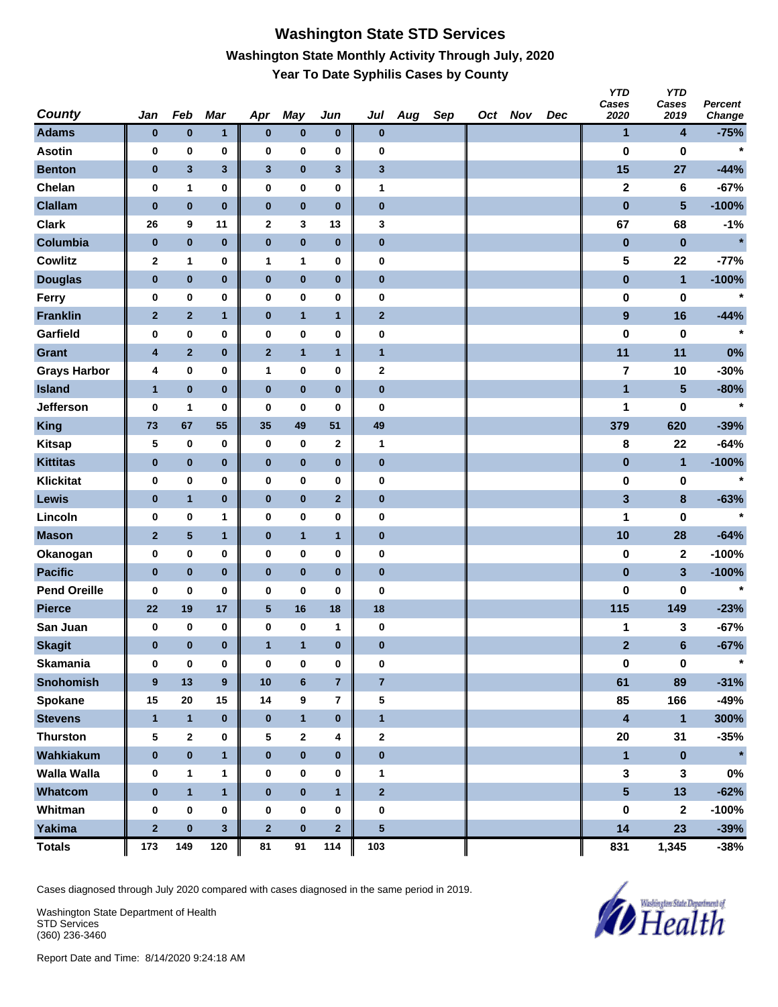#### **Washington State STD Services Washington State Monthly Activity Through July, 2020 Year To Date Syphilis Cases by County**

| <b>County</b>       | Jan                     | Feb                     | Mar          | Apr          | May            | Jun            | Jul            | Aug | Sep | Oct Nov | Dec | <b>YTD</b><br>Cases<br>2020 | <b>YTD</b><br>Cases<br>2019 | <b>Percent</b><br>Change |
|---------------------|-------------------------|-------------------------|--------------|--------------|----------------|----------------|----------------|-----|-----|---------|-----|-----------------------------|-----------------------------|--------------------------|
| <b>Adams</b>        | $\bf{0}$                | $\pmb{0}$               | $\mathbf{1}$ | $\pmb{0}$    | $\pmb{0}$      | $\bf{0}$       | $\pmb{0}$      |     |     |         |     | 1                           | $\overline{\mathbf{4}}$     | $-75%$                   |
| <b>Asotin</b>       | $\bf{0}$                | 0                       | 0            | 0            | $\bf{0}$       | 0              | $\bf{0}$       |     |     |         |     | 0                           | $\bf{0}$                    | $\star$                  |
| <b>Benton</b>       | $\pmb{0}$               | $\mathbf{3}$            | 3            | 3            | $\pmb{0}$      | 3              | $\mathbf{3}$   |     |     |         |     | 15                          | 27                          | $-44%$                   |
| Chelan              | 0                       | 1                       | 0            | 0            | $\pmb{0}$      | 0              | 1              |     |     |         |     | $\mathbf 2$                 | 6                           | $-67%$                   |
| <b>Clallam</b>      | $\pmb{0}$               | $\pmb{0}$               | $\bf{0}$     | $\pmb{0}$    | $\pmb{0}$      | $\bf{0}$       | $\pmb{0}$      |     |     |         |     | $\pmb{0}$                   | $5\phantom{1}$              | $-100%$                  |
| <b>Clark</b>        | 26                      | 9                       | 11           | $\mathbf 2$  | 3              | 13             | 3              |     |     |         |     | 67                          | 68                          | $-1%$                    |
| Columbia            | $\pmb{0}$               | $\pmb{0}$               | $\bf{0}$     | $\pmb{0}$    | $\pmb{0}$      | $\pmb{0}$      | $\pmb{0}$      |     |     |         |     | $\bf{0}$                    | $\bf{0}$                    | $\star$                  |
| <b>Cowlitz</b>      | $\mathbf 2$             | 1                       | 0            | 1            | $\mathbf{1}$   | 0              | 0              |     |     |         |     | 5                           | 22                          | $-77%$                   |
| <b>Douglas</b>      | $\bf{0}$                | $\pmb{0}$               | $\bf{0}$     | $\mathbf 0$  | $\pmb{0}$      | $\pmb{0}$      | $\pmb{0}$      |     |     |         |     | $\pmb{0}$                   | $\mathbf{1}$                | $-100%$                  |
| Ferry               | 0                       | 0                       | 0            | 0            | $\bf{0}$       | 0              | 0              |     |     |         |     | 0                           | 0                           | $\ast$                   |
| <b>Franklin</b>     | $\mathbf{2}$            | $\mathbf 2$             | $\mathbf{1}$ | $\pmb{0}$    | $\mathbf{1}$   | $\mathbf{1}$   | $\mathbf{2}$   |     |     |         |     | $\boldsymbol{9}$            | 16                          | $-44%$                   |
| Garfield            | 0                       | 0                       | 0            | 0            | $\pmb{0}$      | 0              | $\pmb{0}$      |     |     |         |     | 0                           | $\bf{0}$                    | $\star$                  |
| <b>Grant</b>        | $\overline{\mathbf{4}}$ | $\overline{2}$          | $\bf{0}$     | $\mathbf{2}$ | $\overline{1}$ | $\mathbf{1}$   | $\mathbf{1}$   |     |     |         |     | 11                          | 11                          | 0%                       |
| <b>Grays Harbor</b> | 4                       | 0                       | 0            | 1            | $\pmb{0}$      | 0              | $\mathbf 2$    |     |     |         |     | 7                           | 10                          | $-30%$                   |
| <b>Island</b>       | $\mathbf{1}$            | $\pmb{0}$               | $\bf{0}$     | $\pmb{0}$    | $\bf{0}$       | $\bf{0}$       | $\pmb{0}$      |     |     |         |     | 1                           | $\overline{\mathbf{5}}$     | $-80%$                   |
| Jefferson           | 0                       | 1                       | 0            | 0            | 0              | 0              | 0              |     |     |         |     | 1                           | 0                           | $\star$                  |
| <b>King</b>         | 73                      | 67                      | 55           | 35           | 49             | 51             | 49             |     |     |         |     | 379                         | 620                         | $-39%$                   |
| <b>Kitsap</b>       | 5                       | 0                       | 0            | 0            | 0              | $\mathbf 2$    | 1              |     |     |         |     | 8                           | 22                          | $-64%$                   |
| <b>Kittitas</b>     | $\bf{0}$                | $\pmb{0}$               | $\bf{0}$     | $\bf{0}$     | $\bf{0}$       | $\pmb{0}$      | $\pmb{0}$      |     |     |         |     | $\bf{0}$                    | $\mathbf{1}$                | $-100%$                  |
| <b>Klickitat</b>    | 0                       | 0                       | 0            | 0            | $\bf{0}$       | 0              | 0              |     |     |         |     | 0                           | 0                           | $\star$                  |
| Lewis               | $\pmb{0}$               | $\mathbf{1}$            | $\bf{0}$     | $\pmb{0}$    | $\pmb{0}$      | $\mathbf{2}$   | $\pmb{0}$      |     |     |         |     | $\overline{\mathbf{3}}$     | $\pmb{8}$                   | $-63%$                   |
| Lincoln             | 0                       | 0                       | 1            | 0            | $\pmb{0}$      | 0              | 0              |     |     |         |     | 1                           | 0                           | $\star$                  |
| <b>Mason</b>        | $\overline{2}$          | $\overline{\mathbf{5}}$ | $\mathbf{1}$ | $\pmb{0}$    | $\overline{1}$ | $\mathbf{1}$   | $\pmb{0}$      |     |     |         |     | 10                          | 28                          | $-64%$                   |
| Okanogan            | 0                       | 0                       | 0            | $\mathbf 0$  | $\pmb{0}$      | 0              | 0              |     |     |         |     | $\bf{0}$                    | $\mathbf 2$                 | $-100%$                  |
| <b>Pacific</b>      | $\pmb{0}$               | $\pmb{0}$               | $\bf{0}$     | $\pmb{0}$    | $\bf{0}$       | $\bf{0}$       | $\pmb{0}$      |     |     |         |     | $\pmb{0}$                   | $\mathbf{3}$                | $-100%$                  |
| <b>Pend Oreille</b> | 0                       | 0                       | 0            | 0            | 0              | 0              | 0              |     |     |         |     | 0                           | 0                           | $\star$                  |
| <b>Pierce</b>       | 22                      | 19                      | 17           | $\sqrt{5}$   | 16             | 18             | 18             |     |     |         |     | 115                         | 149                         | $-23%$                   |
| San Juan            | 0                       | 0                       | 0            | 0            | 0              | 1              | $\bf{0}$       |     |     |         |     | 1                           | 3                           | $-67%$                   |
| <b>Skagit</b>       | $\bf{0}$                | $\pmb{0}$               | $\bf{0}$     | $\mathbf{1}$ | $\mathbf{1}$   | $\bf{0}$       | $\bf{0}$       |     |     |         |     | $\mathbf{2}$                | $6\phantom{a}$              | $-67%$                   |
| <b>Skamania</b>     | $\bf{0}$                | $\pmb{0}$               | 0            | $\bf{0}$     | $\bf{0}$       | 0              | 0              |     |     |         |     | $\bf{0}$                    | $\pmb{0}$                   |                          |
| <b>Snohomish</b>    | 9                       | 13                      | $\pmb{9}$    | 10           | $\bf 6$        | $\overline{7}$ | $\overline{7}$ |     |     |         |     | 61                          | 89                          | $-31%$                   |
| Spokane             | 15                      | 20                      | 15           | 14           | 9              | 7              | 5              |     |     |         |     | 85                          | 166                         | $-49%$                   |
| <b>Stevens</b>      | $\mathbf{1}$            | $\mathbf{1}$            | $\pmb{0}$    | $\bf{0}$     | $\mathbf{1}$   | $\pmb{0}$      | $\mathbf{1}$   |     |     |         |     | 4                           | $\mathbf{1}$                | 300%                     |
| <b>Thurston</b>     | ${\bf 5}$               | $\mathbf 2$             | 0            | ${\bf 5}$    | $\mathbf{2}$   | 4              | $\mathbf 2$    |     |     |         |     | 20                          | 31                          | $-35%$                   |
| Wahkiakum           | $\pmb{0}$               | $\pmb{0}$               | $\mathbf{1}$ | $\pmb{0}$    | $\pmb{0}$      | $\pmb{0}$      | $\pmb{0}$      |     |     |         |     | $\blacksquare$              | $\pmb{0}$                   | $\star$                  |
| <b>Walla Walla</b>  | 0                       | 1                       | 1            | 0            | 0              | 0              | 1              |     |     |         |     | $\mathbf{3}$                | 3                           | $0\%$                    |
| Whatcom             | $\pmb{0}$               | $\mathbf{1}$            | $\mathbf{1}$ | $\bf{0}$     | $\pmb{0}$      | $\mathbf{1}$   | $\overline{2}$ |     |     |         |     | $5\phantom{a}$              | 13                          | $-62%$                   |
| Whitman             | $\pmb{0}$               | $\pmb{0}$               | 0            | $\bf{0}$     | $\pmb{0}$      | 0              | $\bf{0}$       |     |     |         |     | $\pmb{0}$                   | $\boldsymbol{2}$            | $-100%$                  |
| Yakima              | $\mathbf 2$             | $\pmb{0}$               | $\mathbf{3}$ | $\mathbf{2}$ | $\pmb{0}$      | $\mathbf 2$    | $\sqrt{5}$     |     |     |         |     | 14                          | 23                          | $-39%$                   |
| <b>Totals</b>       | 173                     | 149                     | 120          | 81           | 91             | 114            | 103            |     |     |         |     | 831                         | 1,345                       | $-38%$                   |

Cases diagnosed through July 2020 compared with cases diagnosed in the same period in 2019.

Washington State Department of Health STD Services (360) 236-3460

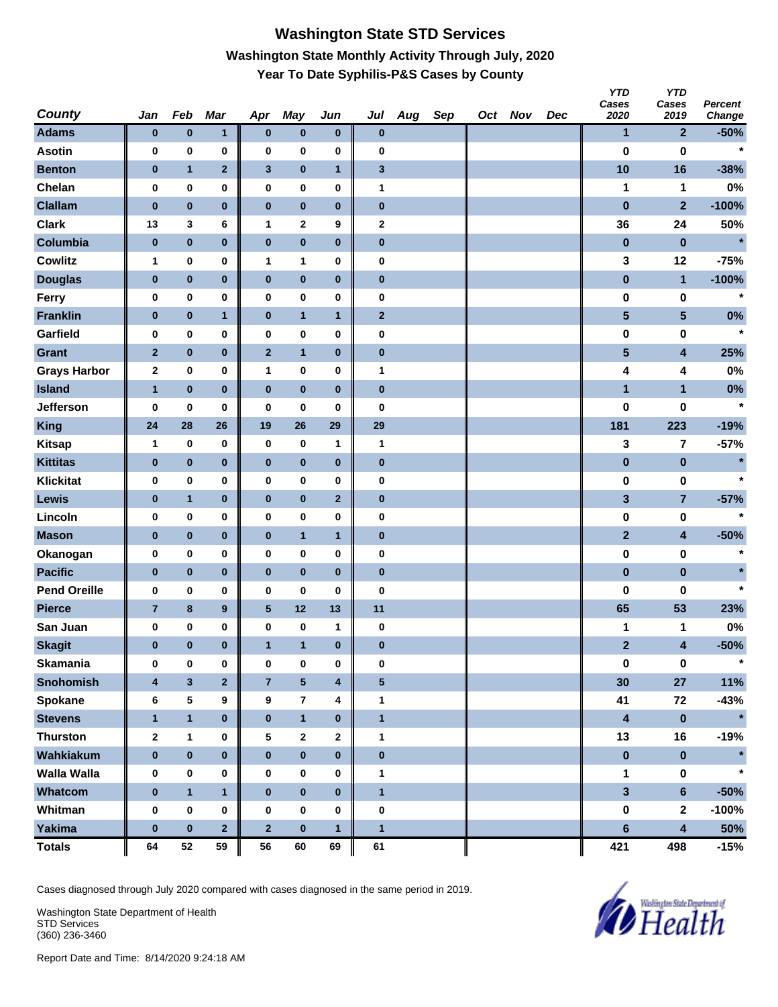# **Washington State STD Services Washington State Monthly Activity Through July, 2020 Year To Date Syphilis-P&S Cases by County**

| <b>County</b>       | Jan                     | Feb          | Mar                     | Apr                     | May                     | Jun          | Jul                     | Aug | Sep | Oct Nov | Dec | <b>YTD</b><br>Cases<br>2020 | <b>YTD</b><br>Cases<br>2019 | Percent<br>Change |
|---------------------|-------------------------|--------------|-------------------------|-------------------------|-------------------------|--------------|-------------------------|-----|-----|---------|-----|-----------------------------|-----------------------------|-------------------|
| <b>Adams</b>        | $\bf{0}$                | $\pmb{0}$    | $\mathbf{1}$            | $\bf{0}$                | $\pmb{0}$               | $\bf{0}$     | $\bf{0}$                |     |     |         |     | 1                           | $\overline{2}$              | $-50%$            |
| <b>Asotin</b>       | 0                       | $\pmb{0}$    | 0                       | 0                       | 0                       | 0            | 0                       |     |     |         |     | $\bf{0}$                    | $\bf{0}$                    | $\star$           |
| <b>Benton</b>       | $\bf{0}$                | $\mathbf{1}$ | $\overline{\mathbf{2}}$ | $\mathbf{3}$            | $\pmb{0}$               | $\mathbf{1}$ | $\mathbf{3}$            |     |     |         |     | 10                          | 16                          | $-38%$            |
| Chelan              | 0                       | $\pmb{0}$    | 0                       | 0                       | 0                       | 0            | $\mathbf{1}$            |     |     |         |     | 1                           | 1                           | 0%                |
| <b>Clallam</b>      | $\pmb{0}$               | $\pmb{0}$    | $\bf{0}$                | $\pmb{0}$               | $\pmb{0}$               | $\pmb{0}$    | $\pmb{0}$               |     |     |         |     | $\pmb{0}$                   | $\overline{2}$              | $-100%$           |
| <b>Clark</b>        | 13                      | 3            | 6                       | 1                       | 2                       | 9            | 2                       |     |     |         |     | 36                          | 24                          | 50%               |
| Columbia            | $\pmb{0}$               | $\pmb{0}$    | $\pmb{0}$               | $\pmb{0}$               | $\pmb{0}$               | $\pmb{0}$    | $\pmb{0}$               |     |     |         |     | $\pmb{0}$                   | $\bf{0}$                    | $\star$           |
| <b>Cowlitz</b>      | 1                       | $\bf{0}$     | 0                       | $\mathbf{1}$            | 1                       | 0            | $\pmb{0}$               |     |     |         |     | 3                           | 12                          | $-75%$            |
| <b>Douglas</b>      | $\bf{0}$                | $\pmb{0}$    | $\pmb{0}$               | $\pmb{0}$               | $\pmb{0}$               | $\pmb{0}$    | $\bf{0}$                |     |     |         |     | $\pmb{0}$                   | $\mathbf{1}$                | $-100%$           |
| Ferry               | 0                       | 0            | 0                       | $\pmb{0}$               | 0                       | 0            | $\pmb{0}$               |     |     |         |     | 0                           | 0                           | $\star$           |
| <b>Franklin</b>     | $\bf{0}$                | $\pmb{0}$    | $\mathbf{1}$            | $\pmb{0}$               | $\mathbf{1}$            | $\mathbf{1}$ | $\mathbf{2}$            |     |     |         |     | $\overline{\mathbf{5}}$     | $\sqrt{5}$                  | $0\%$             |
| Garfield            | 0                       | $\pmb{0}$    | 0                       | 0                       | 0                       | 0            | 0                       |     |     |         |     | 0                           | 0                           | $\star$           |
| <b>Grant</b>        | $\mathbf{2}$            | $\pmb{0}$    | $\pmb{0}$               | $\mathbf{2}$            | $\mathbf{1}$            | $\mathbf 0$  | $\pmb{0}$               |     |     |         |     | $\overline{\mathbf{5}}$     | $\overline{\mathbf{4}}$     | 25%               |
| <b>Grays Harbor</b> | $\mathbf 2$             | $\pmb{0}$    | 0                       | 1                       | 0                       | 0            | $\mathbf{1}$            |     |     |         |     | 4                           | 4                           | 0%                |
| <b>Island</b>       | $\mathbf{1}$            | $\pmb{0}$    | $\bf{0}$                | $\pmb{0}$               | $\pmb{0}$               | $\pmb{0}$    | $\pmb{0}$               |     |     |         |     | $\mathbf{1}$                | $\mathbf{1}$                | $0\%$             |
| Jefferson           | 0                       | 0            | 0                       | 0                       | 0                       | 0            | 0                       |     |     |         |     | $\bf{0}$                    | 0                           | $\star$           |
| <b>King</b>         | 24                      | 28           | 26                      | 19                      | 26                      | 29           | 29                      |     |     |         |     | 181                         | 223                         | $-19%$            |
| <b>Kitsap</b>       | 1                       | $\pmb{0}$    | 0                       | 0                       | 0                       | $\mathbf{1}$ | $\mathbf{1}$            |     |     |         |     | 3                           | $\overline{\mathbf{r}}$     | $-57%$            |
| <b>Kittitas</b>     | $\pmb{0}$               | $\bf{0}$     | $\pmb{0}$               | $\pmb{0}$               | $\pmb{0}$               | $\pmb{0}$    | $\bf{0}$                |     |     |         |     | $\pmb{0}$                   | $\pmb{0}$                   | $\star$           |
| <b>Klickitat</b>    | 0                       | 0            | 0                       | $\pmb{0}$               | 0                       | 0            | $\pmb{0}$               |     |     |         |     | 0                           | 0                           | $\star$           |
| Lewis               | $\bf{0}$                | $\mathbf{1}$ | $\pmb{0}$               | $\bf{0}$                | $\pmb{0}$               | $\mathbf{2}$ | $\pmb{0}$               |     |     |         |     | 3                           | $\overline{7}$              | $-57%$            |
| Lincoln             | 0                       | $\pmb{0}$    | $\bf{0}$                | 0                       | 0                       | 0            | $\pmb{0}$               |     |     |         |     | 0                           | 0                           | $\star$           |
| <b>Mason</b>        | $\bf{0}$                | $\pmb{0}$    | $\pmb{0}$               | $\pmb{0}$               | $\mathbf{1}$            | $\mathbf{1}$ | $\pmb{0}$               |     |     |         |     | $\overline{\mathbf{2}}$     | $\overline{\mathbf{4}}$     | $-50%$            |
| Okanogan            | 0                       | $\pmb{0}$    | 0                       | 0                       | 0                       | 0            | $\pmb{0}$               |     |     |         |     | 0                           | 0                           | $\star$           |
| <b>Pacific</b>      | $\pmb{0}$               | $\pmb{0}$    | $\bf{0}$                | $\pmb{0}$               | $\pmb{0}$               | $\pmb{0}$    | $\pmb{0}$               |     |     |         |     | $\pmb{0}$                   | $\pmb{0}$                   | $\star$           |
| <b>Pend Oreille</b> | 0                       | 0            | 0                       | 0                       | 0                       | 0            | 0                       |     |     |         |     | 0                           | 0                           | $\star$           |
| <b>Pierce</b>       | $\overline{7}$          | 8            | $\boldsymbol{9}$        | ${\bf 5}$               | 12                      | 13           | 11                      |     |     |         |     | 65                          | 53                          | 23%               |
| San Juan            | 0                       | $\pmb{0}$    | 0                       | 0                       | 0                       | $\mathbf{1}$ | $\pmb{0}$               |     |     |         |     | 1                           | 1                           | 0%                |
| <b>Skagit</b>       | $\bf{0}$                | 0            | $\bf{0}$                | $\mathbf{1}$            | $\mathbf{1}$            | $\bf{0}$     | $\bf{0}$                |     |     |         |     | $\mathbf{2}$                | 4                           | $-50%$            |
| <b>Skamania</b>     | $\bf{0}$                | 0            | $\pmb{0}$               | $\bf{0}$                | 0                       | $\pmb{0}$    | $\bf{0}$                |     |     |         |     | $\pmb{0}$                   | $\pmb{0}$                   | $\star$           |
| <b>Snohomish</b>    | $\overline{\mathbf{4}}$ | $\mathbf{3}$ | $\overline{2}$          | $\overline{7}$          | $\overline{\mathbf{5}}$ | 4            | $\overline{\mathbf{5}}$ |     |     |         |     | 30                          | 27                          | 11%               |
| Spokane             | 6                       | 5            | 9                       | 9                       | $\overline{7}$          | 4            | 1                       |     |     |         |     | 41                          | 72                          | $-43%$            |
| <b>Stevens</b>      | $\mathbf{1}$            | $\mathbf{1}$ | $\pmb{0}$               | $\bf{0}$                | $\mathbf{1}$            | $\mathbf 0$  | $\mathbf{1}$            |     |     |         |     | $\overline{\mathbf{4}}$     | $\pmb{0}$                   | $\star$           |
| <b>Thurston</b>     | $\bf{2}$                | 1            | 0                       | 5                       | $\mathbf 2$             | 2            | $\mathbf{1}$            |     |     |         |     | 13                          | 16                          | $-19%$            |
| Wahkiakum           | $\pmb{0}$               | $\pmb{0}$    | $\pmb{0}$               | $\pmb{0}$               | $\pmb{0}$               | $\pmb{0}$    | $\pmb{0}$               |     |     |         |     | $\pmb{0}$                   | $\pmb{0}$                   |                   |
| <b>Walla Walla</b>  | 0                       | 0            | 0                       | 0                       | 0                       | 0            | $\mathbf{1}$            |     |     |         |     | 1                           | $\pmb{0}$                   | $\star$           |
| Whatcom             | $\bf{0}$                | $\mathbf{1}$ | $\mathbf{1}$            | $\bf{0}$                | $\pmb{0}$               | $\pmb{0}$    | $\mathbf{1}$            |     |     |         |     | $\overline{\mathbf{3}}$     | $6\phantom{a}$              | $-50%$            |
| Whitman             | $\pmb{0}$               | $\pmb{0}$    | $\bf{0}$                | $\boldsymbol{0}$        | 0                       | $\pmb{0}$    | $\pmb{0}$               |     |     |         |     | 0                           | $\mathbf{2}$                | $-100%$           |
| <b>Yakima</b>       | $\pmb{0}$               | $\pmb{0}$    | $\overline{2}$          | $\overline{\mathbf{2}}$ | $\pmb{0}$               | $\mathbf{1}$ | $\mathbf{1}$            |     |     |         |     | $6\phantom{a}$              | $\overline{\mathbf{4}}$     | 50%               |
| <b>Totals</b>       | 64                      | $52\,$       | 59                      | 56                      | 60                      | 69           | 61                      |     |     |         |     | 421                         | 498                         | $-15%$            |

Cases diagnosed through July 2020 compared with cases diagnosed in the same period in 2019.

Washington State Department of Health STD Services (360) 236-3460

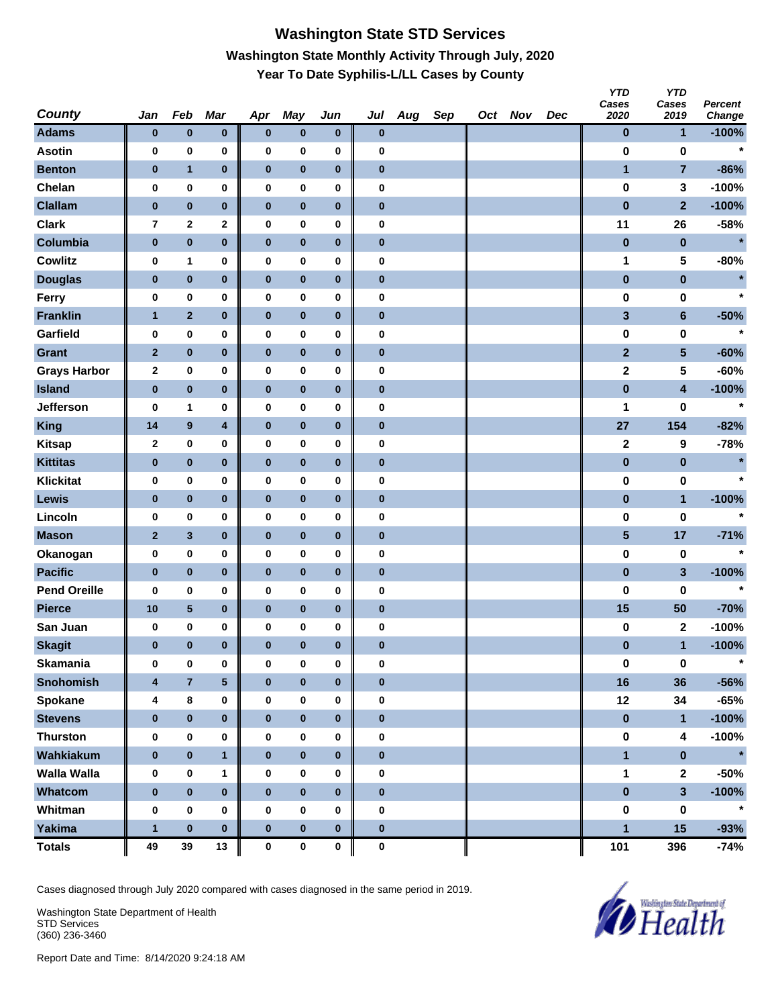## **Washington State STD Services Washington State Monthly Activity Through July, 2020 Year To Date Syphilis-L/LL Cases by County**

| <b>County</b>       | Jan                     | Feb              | Mar                     | Apr         | May       | Jun       | Jul       | Aug | Sep | Oct Nov | Dec | <b>YTD</b><br>Cases<br>2020 | <b>YTD</b><br>Cases<br>2019 | <b>Percent</b><br>Change |
|---------------------|-------------------------|------------------|-------------------------|-------------|-----------|-----------|-----------|-----|-----|---------|-----|-----------------------------|-----------------------------|--------------------------|
| <b>Adams</b>        | $\bf{0}$                | $\pmb{0}$        | $\pmb{0}$               | $\pmb{0}$   | $\pmb{0}$ | $\bf{0}$  | $\bf{0}$  |     |     |         |     | $\bf{0}$                    | $\mathbf{1}$                | $-100%$                  |
| <b>Asotin</b>       | 0                       | 0                | 0                       | 0           | 0         | 0         | 0         |     |     |         |     | 0                           | 0                           | $\star$                  |
| <b>Benton</b>       | $\bf{0}$                | $\mathbf{1}$     | $\pmb{0}$               | $\pmb{0}$   | $\pmb{0}$ | $\pmb{0}$ | $\pmb{0}$ |     |     |         |     | 1                           | $\overline{7}$              | $-86%$                   |
| Chelan              | 0                       | 0                | 0                       | $\mathbf 0$ | $\pmb{0}$ | 0         | 0         |     |     |         |     | $\pmb{0}$                   | 3                           | $-100%$                  |
| <b>Clallam</b>      | $\bf{0}$                | $\pmb{0}$        | $\bf{0}$                | $\pmb{0}$   | $\pmb{0}$ | $\pmb{0}$ | $\pmb{0}$ |     |     |         |     | $\bf{0}$                    | $\overline{2}$              | $-100%$                  |
| <b>Clark</b>        | 7                       | 2                | 2                       | 0           | 0         | 0         | 0         |     |     |         |     | 11                          | 26                          | $-58%$                   |
| Columbia            | $\pmb{0}$               | $\pmb{0}$        | $\bf{0}$                | $\pmb{0}$   | $\pmb{0}$ | $\pmb{0}$ | $\pmb{0}$ |     |     |         |     | $\bf{0}$                    | $\bf{0}$                    | $\star$                  |
| <b>Cowlitz</b>      | 0                       | 1                | 0                       | 0           | 0         | 0         | 0         |     |     |         |     | 1                           | 5                           | $-80%$                   |
| <b>Douglas</b>      | $\bf{0}$                | $\pmb{0}$        | $\bf{0}$                | 0           | $\bf{0}$  | $\pmb{0}$ | $\pmb{0}$ |     |     |         |     | $\pmb{0}$                   | $\pmb{0}$                   | $\star$                  |
| Ferry               | 0                       | 0                | 0                       | 0           | $\bf{0}$  | 0         | 0         |     |     |         |     | 0                           | 0                           | $\star$                  |
| <b>Franklin</b>     | $\mathbf{1}$            | $\mathbf 2$      | $\bf{0}$                | $\pmb{0}$   | $\bf{0}$  | $\pmb{0}$ | $\pmb{0}$ |     |     |         |     | 3                           | $\bf 6$                     | $-50%$                   |
| Garfield            | 0                       | 0                | 0                       | 0           | $\pmb{0}$ | 0         | 0         |     |     |         |     | 0                           | 0                           | $\star$                  |
| <b>Grant</b>        | $\mathbf{2}$            | $\pmb{0}$        | $\bf{0}$                | $\pmb{0}$   | $\pmb{0}$ | $\pmb{0}$ | $\pmb{0}$ |     |     |         |     | $\mathbf{2}$                | 5                           | $-60%$                   |
| <b>Grays Harbor</b> | $\mathbf{2}$            | 0                | 0                       | $\mathbf 0$ | $\pmb{0}$ | 0         | 0         |     |     |         |     | $\mathbf 2$                 | 5                           | $-60%$                   |
| <b>Island</b>       | $\pmb{0}$               | $\pmb{0}$        | $\bf{0}$                | $\pmb{0}$   | $\pmb{0}$ | $\pmb{0}$ | $\pmb{0}$ |     |     |         |     | $\bf{0}$                    | $\overline{\mathbf{4}}$     | $-100%$                  |
| Jefferson           | 0                       | 1                | 0                       | 0           | 0         | 0         | 0         |     |     |         |     | 1                           | 0                           | $\star$                  |
| <b>King</b>         | 14                      | $\boldsymbol{9}$ | $\overline{\mathbf{4}}$ | $\pmb{0}$   | $\pmb{0}$ | $\pmb{0}$ | $\pmb{0}$ |     |     |         |     | 27                          | 154                         | $-82%$                   |
| <b>Kitsap</b>       | $\mathbf 2$             | 0                | 0                       | 0           | 0         | 0         | 0         |     |     |         |     | 2                           | 9                           | $-78%$                   |
| <b>Kittitas</b>     | $\bf{0}$                | $\pmb{0}$        | $\bf{0}$                | 0           | $\bf{0}$  | $\pmb{0}$ | $\pmb{0}$ |     |     |         |     | $\pmb{0}$                   | $\pmb{0}$                   |                          |
| <b>Klickitat</b>    | 0                       | 0                | 0                       | 0           | $\bf{0}$  | 0         | 0         |     |     |         |     | 0                           | 0                           | $\star$                  |
| Lewis               | $\bf{0}$                | $\pmb{0}$        | $\bf{0}$                | $\pmb{0}$   | $\bf{0}$  | $\pmb{0}$ | $\pmb{0}$ |     |     |         |     | $\bf{0}$                    | $\mathbf{1}$                | $-100%$                  |
| Lincoln             | 0                       | 0                | 0                       | 0           | $\pmb{0}$ | 0         | 0         |     |     |         |     | 0                           | 0                           | $\star$                  |
| <b>Mason</b>        | $\overline{2}$          | $\mathbf{3}$     | $\bf{0}$                | $\pmb{0}$   | $\pmb{0}$ | $\pmb{0}$ | $\pmb{0}$ |     |     |         |     | $\overline{\mathbf{5}}$     | 17                          | $-71%$                   |
| Okanogan            | 0                       | 0                | 0                       | 0           | $\pmb{0}$ | 0         | 0         |     |     |         |     | $\pmb{0}$                   | 0                           | $\star$                  |
| <b>Pacific</b>      | $\pmb{0}$               | $\pmb{0}$        | $\bf{0}$                | $\pmb{0}$   | $\bf{0}$  | $\pmb{0}$ | $\pmb{0}$ |     |     |         |     | $\pmb{0}$                   | 3                           | $-100%$                  |
| <b>Pend Oreille</b> | 0                       | 0                | 0                       | 0           | 0         | 0         | 0         |     |     |         |     | 0                           | 0                           | $\star$                  |
| <b>Pierce</b>       | 10                      | ${\bf 5}$        | $\bf{0}$                | $\pmb{0}$   | $\pmb{0}$ | $\pmb{0}$ | $\pmb{0}$ |     |     |         |     | 15                          | 50                          | $-70%$                   |
| San Juan            | 0                       | 0                | 0                       | 0           | 0         | 0         | 0         |     |     |         |     | 0                           | 2                           | $-100%$                  |
| <b>Skagit</b>       | $\bf{0}$                | $\pmb{0}$        | $\bf{0}$                | $\pmb{0}$   | $\pmb{0}$ | $\bf{0}$  | $\bf{0}$  |     |     |         |     | $\bf{0}$                    | $\mathbf{1}$                | $-100%$                  |
| <b>Skamania</b>     | $\bf{0}$                | 0                | 0                       | $\bf{0}$    | $\pmb{0}$ | 0         | 0         |     |     |         |     | $\pmb{0}$                   | $\mathbf 0$                 | $\star$                  |
| <b>Snohomish</b>    | $\overline{\mathbf{4}}$ | $\overline{7}$   | $5\phantom{.0}$         | $\bf{0}$    | $\pmb{0}$ | $\pmb{0}$ | $\pmb{0}$ |     |     |         |     | 16                          | 36                          | $-56%$                   |
| Spokane             | 4                       | 8                | 0                       | $\bf{0}$    | $\pmb{0}$ | 0         | 0         |     |     |         |     | 12                          | 34                          | $-65%$                   |
| <b>Stevens</b>      | $\bf{0}$                | $\pmb{0}$        | $\pmb{0}$               | $\bf{0}$    | $\pmb{0}$ | $\bf{0}$  | $\pmb{0}$ |     |     |         |     | $\pmb{0}$                   | $\mathbf{1}$                | $-100%$                  |
| <b>Thurston</b>     | $\pmb{0}$               | 0                | 0                       | $\pmb{0}$   | $\pmb{0}$ | 0         | $\pmb{0}$ |     |     |         |     | $\pmb{0}$                   | $\overline{\mathbf{4}}$     | $-100%$                  |
| Wahkiakum           | $\pmb{0}$               | $\pmb{0}$        | $\mathbf{1}$            | $\pmb{0}$   | $\pmb{0}$ | $\pmb{0}$ | $\pmb{0}$ |     |     |         |     | $\mathbf{1}$                | $\pmb{0}$                   | $\star$                  |
| <b>Walla Walla</b>  | 0                       | 0                | 1                       | 0           | 0         | 0         | 0         |     |     |         |     | 1                           | $\mathbf{2}$                | $-50%$                   |
| Whatcom             | $\pmb{0}$               | $\pmb{0}$        | $\bf{0}$                | $\bf{0}$    | $\pmb{0}$ | $\pmb{0}$ | $\bf{0}$  |     |     |         |     | $\pmb{0}$                   | $\overline{\mathbf{3}}$     | $-100%$                  |
| Whitman             | $\pmb{0}$               | $\pmb{0}$        | 0                       | $\bf{0}$    | $\pmb{0}$ | 0         | $\bf{0}$  |     |     |         |     | $\pmb{0}$                   | $\pmb{0}$                   | $\star$                  |
| Yakima              | $\mathbf{1}$            | $\pmb{0}$        | $\pmb{0}$               | $\pmb{0}$   | $\pmb{0}$ | $\bf{0}$  | $\pmb{0}$ |     |     |         |     | $\mathbf{1}$                | 15                          | $-93%$                   |
| <b>Totals</b>       | 49                      | 39               | 13                      | $\pmb{0}$   | $\pmb{0}$ | $\pmb{0}$ | $\pmb{0}$ |     |     |         |     | 101                         | 396                         | -74%                     |

Cases diagnosed through July 2020 compared with cases diagnosed in the same period in 2019.

Washington State Department of Health STD Services (360) 236-3460

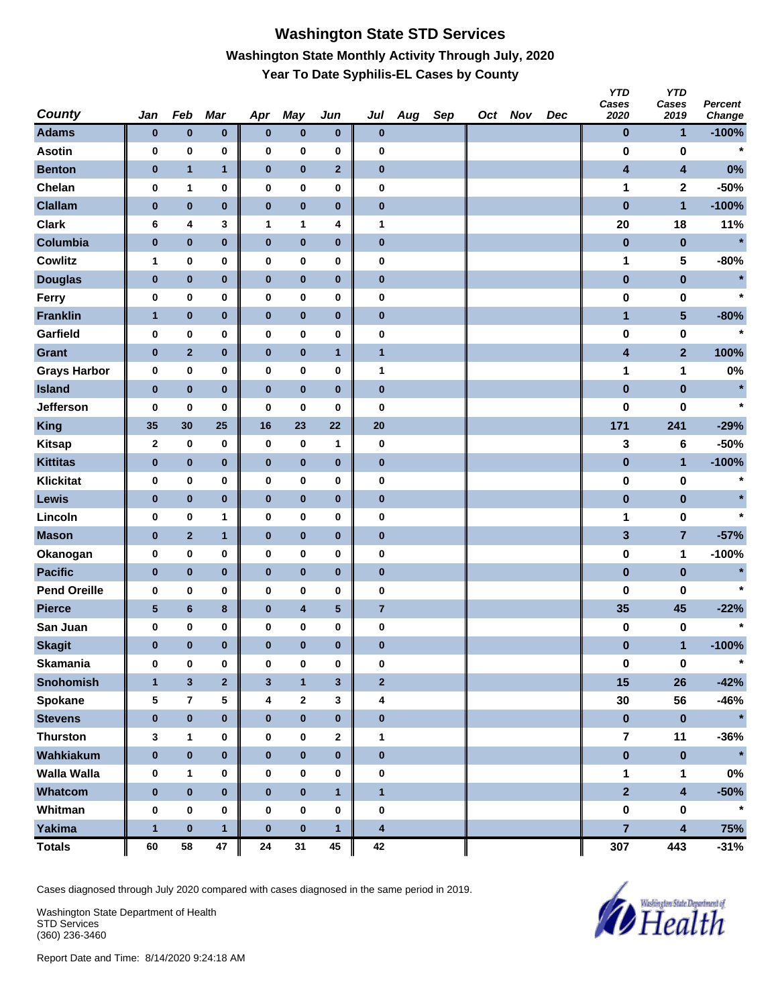# **Washington State STD Services Washington State Monthly Activity Through July, 2020 Year To Date Syphilis-EL Cases by County**

| <b>County</b>       | Jan          | Feb                     | Mar                     | Apr          | <b>May</b>   | Jun          | Jul                     | Aug | Sep | Oct Nov | Dec | <b>YTD</b><br>Cases<br>2020 | <b>YTD</b><br>Cases<br>2019 | <b>Percent</b><br>Change |
|---------------------|--------------|-------------------------|-------------------------|--------------|--------------|--------------|-------------------------|-----|-----|---------|-----|-----------------------------|-----------------------------|--------------------------|
| <b>Adams</b>        | $\bf{0}$     | $\pmb{0}$               | $\pmb{0}$               | $\pmb{0}$    | $\pmb{0}$    | $\bf{0}$     | $\bf{0}$                |     |     |         |     | $\bf{0}$                    | $\mathbf{1}$                | $-100%$                  |
| <b>Asotin</b>       | 0            | 0                       | 0                       | 0            | 0            | 0            | 0                       |     |     |         |     | 0                           | 0                           | $\star$                  |
| <b>Benton</b>       | $\bf{0}$     | $\mathbf{1}$            | $\mathbf{1}$            | $\pmb{0}$    | $\pmb{0}$    | $\mathbf{2}$ | $\pmb{0}$               |     |     |         |     | 4                           | $\overline{\mathbf{4}}$     | 0%                       |
| Chelan              | 0            | $\mathbf{1}$            | 0                       | $\mathbf 0$  | $\pmb{0}$    | 0            | 0                       |     |     |         |     | 1                           | $\mathbf 2$                 | $-50%$                   |
| <b>Clallam</b>      | $\pmb{0}$    | $\pmb{0}$               | $\bf{0}$                | $\pmb{0}$    | $\pmb{0}$    | $\pmb{0}$    | $\pmb{0}$               |     |     |         |     | $\bf{0}$                    | $\mathbf{1}$                | $-100%$                  |
| <b>Clark</b>        | 6            | 4                       | 3                       | 1            | $\mathbf{1}$ | 4            | 1                       |     |     |         |     | 20                          | 18                          | 11%                      |
| Columbia            | $\pmb{0}$    | $\pmb{0}$               | $\pmb{0}$               | $\pmb{0}$    | $\pmb{0}$    | $\pmb{0}$    | $\pmb{0}$               |     |     |         |     | $\bf{0}$                    | $\pmb{0}$                   | $\star$                  |
| <b>Cowlitz</b>      | 1            | 0                       | 0                       | 0            | 0            | 0            | 0                       |     |     |         |     | 1                           | 5                           | $-80%$                   |
| <b>Douglas</b>      | $\bf{0}$     | $\pmb{0}$               | $\bf{0}$                | 0            | $\bf{0}$     | $\pmb{0}$    | $\pmb{0}$               |     |     |         |     | $\pmb{0}$                   | $\pmb{0}$                   |                          |
| Ferry               | 0            | 0                       | 0                       | 0            | $\bf{0}$     | 0            | 0                       |     |     |         |     | $\pmb{0}$                   | 0                           | $\star$                  |
| <b>Franklin</b>     | $\mathbf{1}$ | $\pmb{0}$               | $\bf{0}$                | $\pmb{0}$    | $\bf{0}$     | $\pmb{0}$    | $\pmb{0}$               |     |     |         |     | 1                           | $5\phantom{.0}$             | $-80%$                   |
| Garfield            | 0            | 0                       | 0                       | 0            | $\pmb{0}$    | 0            | 0                       |     |     |         |     | 0                           | 0                           | $\star$                  |
| <b>Grant</b>        | $\pmb{0}$    | $\mathbf 2$             | $\bf{0}$                | $\pmb{0}$    | $\pmb{0}$    | $\mathbf{1}$ | $\mathbf{1}$            |     |     |         |     | 4                           | $\mathbf{2}$                | 100%                     |
| <b>Grays Harbor</b> | $\pmb{0}$    | 0                       | 0                       | $\mathbf 0$  | $\pmb{0}$    | 0            | 1                       |     |     |         |     | 1                           | 1                           | 0%                       |
| <b>Island</b>       | $\pmb{0}$    | $\pmb{0}$               | $\bf{0}$                | $\pmb{0}$    | $\bf{0}$     | $\pmb{0}$    | $\pmb{0}$               |     |     |         |     | $\bf{0}$                    | $\pmb{0}$                   | $\star$                  |
| Jefferson           | 0            | 0                       | 0                       | 0            | 0            | 0            | 0                       |     |     |         |     | 0                           | 0                           | $\star$                  |
| <b>King</b>         | 35           | 30                      | 25                      | 16           | 23           | 22           | 20                      |     |     |         |     | 171                         | 241                         | $-29%$                   |
| <b>Kitsap</b>       | $\mathbf 2$  | 0                       | 0                       | 0            | 0            | 1            | $\bf{0}$                |     |     |         |     | 3                           | 6                           | $-50%$                   |
| <b>Kittitas</b>     | $\bf{0}$     | $\pmb{0}$               | $\bf{0}$                | $\bf{0}$     | $\bf{0}$     | $\pmb{0}$    | $\pmb{0}$               |     |     |         |     | $\pmb{0}$                   | $\mathbf{1}$                | $-100%$                  |
| <b>Klickitat</b>    | 0            | 0                       | 0                       | 0            | $\bf{0}$     | 0            | 0                       |     |     |         |     | $\pmb{0}$                   | 0                           | $\star$                  |
| <b>Lewis</b>        | $\bf{0}$     | $\pmb{0}$               | $\pmb{0}$               | $\pmb{0}$    | $\bf{0}$     | $\pmb{0}$    | $\pmb{0}$               |     |     |         |     | $\pmb{0}$                   | $\pmb{0}$                   |                          |
| Lincoln             | 0            | 0                       | 1                       | 0            | $\pmb{0}$    | 0            | 0                       |     |     |         |     | 1                           | 0                           | $\star$                  |
| <b>Mason</b>        | $\pmb{0}$    | $\mathbf 2$             | $\mathbf{1}$            | $\pmb{0}$    | $\pmb{0}$    | $\pmb{0}$    | $\pmb{0}$               |     |     |         |     | 3                           | $\overline{7}$              | $-57%$                   |
| Okanogan            | 0            | 0                       | 0                       | 0            | $\pmb{0}$    | 0            | 0                       |     |     |         |     | $\pmb{0}$                   | 1                           | $-100%$                  |
| <b>Pacific</b>      | $\pmb{0}$    | $\pmb{0}$               | $\bf{0}$                | $\pmb{0}$    | $\bf{0}$     | $\pmb{0}$    | $\pmb{0}$               |     |     |         |     | $\pmb{0}$                   | $\bf{0}$                    | $\star$                  |
| <b>Pend Oreille</b> | 0            | 0                       | 0                       | 0            | 0            | 0            | 0                       |     |     |         |     | 0                           | 0                           | $\star$                  |
| <b>Pierce</b>       | $\sqrt{5}$   | $\bf 6$                 | $\bf8$                  | $\pmb{0}$    | $\pmb{4}$    | $\sqrt{5}$   | $\overline{7}$          |     |     |         |     | 35                          | 45                          | $-22%$                   |
| San Juan            | 0            | 0                       | 0                       | 0            | $\pmb{0}$    | 0            | $\bf{0}$                |     |     |         |     | 0                           | 0                           | $\star$                  |
| <b>Skagit</b>       | $\bf{0}$     | $\pmb{0}$               | $\bf{0}$                | $\pmb{0}$    | $\bf{0}$     | $\bf{0}$     | $\bf{0}$                |     |     |         |     | $\bf{0}$                    | $\mathbf{1}$                | $-100%$                  |
| <b>Skamania</b>     | $\bf{0}$     | 0                       | 0                       | $\bf{0}$     | $\pmb{0}$    | 0            | 0                       |     |     |         |     | $\pmb{0}$                   | $\pmb{0}$                   |                          |
| <b>Snohomish</b>    | $\mathbf{1}$ | $\overline{\mathbf{3}}$ | $\overline{\mathbf{2}}$ | $\mathbf{3}$ | $\mathbf{1}$ | $\mathbf{3}$ | $\mathbf{2}$            |     |     |         |     | 15                          | 26                          | $-42%$                   |
| Spokane             | ${\bf 5}$    | $\overline{\mathbf{r}}$ | 5                       | 4            | $\bf{2}$     | 3            | 4                       |     |     |         |     | 30                          | 56                          | -46%                     |
| <b>Stevens</b>      | $\bf{0}$     | $\pmb{0}$               | $\pmb{0}$               | $\bf{0}$     | $\pmb{0}$    | $\pmb{0}$    | $\pmb{0}$               |     |     |         |     | $\pmb{0}$                   | $\pmb{0}$                   | $\star$                  |
| <b>Thurston</b>     | $\mathbf 3$  | $\mathbf{1}$            | 0                       | 0            | $\pmb{0}$    | $\mathbf 2$  | 1                       |     |     |         |     | $\overline{7}$              | 11                          | $-36%$                   |
| Wahkiakum           | $\pmb{0}$    | $\pmb{0}$               | $\mathbf{0}$            | $\pmb{0}$    | $\pmb{0}$    | $\pmb{0}$    | $\pmb{0}$               |     |     |         |     | $\pmb{0}$                   | $\pmb{0}$                   | $\star$                  |
| Walla Walla         | 0            | 1                       | 0                       | 0            | 0            | 0            | 0                       |     |     |         |     | 1                           | 1                           | $0\%$                    |
| Whatcom             | $\pmb{0}$    | $\pmb{0}$               | $\mathbf{0}$            | $\bf{0}$     | $\pmb{0}$    | $\mathbf{1}$ | $\mathbf{1}$            |     |     |         |     | $\overline{2}$              | $\overline{\mathbf{4}}$     | $-50%$                   |
| Whitman             | $\pmb{0}$    | $\pmb{0}$               | 0                       | $\bf{0}$     | $\pmb{0}$    | 0            | $\bf{0}$                |     |     |         |     | $\pmb{0}$                   | $\pmb{0}$                   | $\star$                  |
| Yakima              | $\mathbf{1}$ | $\pmb{0}$               | $\mathbf{1}$            | $\pmb{0}$    | $\pmb{0}$    | $\mathbf{1}$ | $\overline{\mathbf{4}}$ |     |     |         |     | $\overline{7}$              | $\overline{\mathbf{4}}$     | 75%                      |
| <b>Totals</b>       | 60           | 58                      | 47                      | 24           | 31           | 45           | 42                      |     |     |         |     | 307                         | 443                         | $-31%$                   |

Cases diagnosed through July 2020 compared with cases diagnosed in the same period in 2019.

Washington State Department of Health STD Services (360) 236-3460